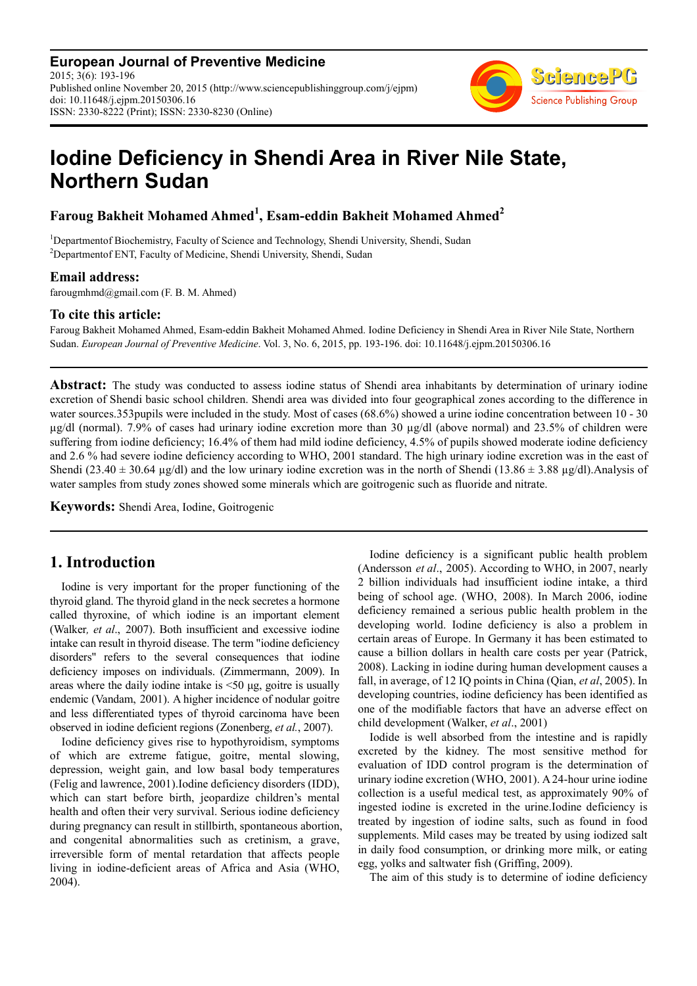**European Journal of Preventive Medicine** 2015; 3(6): 193-196 Published online November 20, 2015 (http://www.sciencepublishinggroup.com/j/ejpm) doi: 10.11648/j.ejpm.20150306.16 ISSN: 2330-8222 (Print); ISSN: 2330-8230 (Online)



# **Iodine Deficiency in Shendi Area in River Nile State, Northern Sudan**

**Faroug Bakheit Mohamed Ahmed<sup>1</sup> , Esam-eddin Bakheit Mohamed Ahmed<sup>2</sup>**

<sup>1</sup>Departmentof Biochemistry, Faculty of Science and Technology, Shendi University, Shendi, Sudan <sup>2</sup>Departmentof ENT, Faculty of Medicine, Shendi University, Shendi, Sudan

### **Email address:**

farougmhmd@gmail.com (F. B. M. Ahmed)

### **To cite this article:**

Faroug Bakheit Mohamed Ahmed, Esam-eddin Bakheit Mohamed Ahmed. Iodine Deficiency in Shendi Area in River Nile State, Northern Sudan. *European Journal of Preventive Medicine*. Vol. 3, No. 6, 2015, pp. 193-196. doi: 10.11648/j.ejpm.20150306.16

**Abstract:** The study was conducted to assess iodine status of Shendi area inhabitants by determination of urinary iodine excretion of Shendi basic school children. Shendi area was divided into four geographical zones according to the difference in water sources.353pupils were included in the study. Most of cases (68.6%) showed a urine iodine concentration between 10 - 30 µg/dl (normal). 7.9% of cases had urinary iodine excretion more than 30 µg/dl (above normal) and 23.5% of children were suffering from iodine deficiency; 16.4% of them had mild iodine deficiency, 4.5% of pupils showed moderate iodine deficiency and 2.6 % had severe iodine deficiency according to WHO, 2001 standard. The high urinary iodine excretion was in the east of Shendi (23.40  $\pm$  30.64 µg/dl) and the low urinary iodine excretion was in the north of Shendi (13.86  $\pm$  3.88 µg/dl). Analysis of water samples from study zones showed some minerals which are goitrogenic such as fluoride and nitrate.

**Keywords:** Shendi Area, Iodine, Goitrogenic

# **1. Introduction**

Iodine is very important for the proper functioning of the thyroid gland. The thyroid gland in the neck secretes a hormone called thyroxine, of which iodine is an important element (Walker*, et al*., 2007). Both insufficient and excessive iodine intake can result in thyroid disease. The term "iodine deficiency disorders" refers to the several consequences that iodine deficiency imposes on individuals. (Zimmermann, 2009). In areas where the daily iodine intake is <50 µg, goitre is usually endemic (Vandam, 2001). A higher incidence of nodular goitre and less differentiated types of thyroid carcinoma have been observed in iodine deficient regions (Zonenberg, *et al.*, 2007).

Iodine deficiency gives rise to hypothyroidism, symptoms of which are extreme fatigue, goitre, mental slowing, depression, weight gain, and low basal body temperatures (Felig and lawrence, 2001).Iodine deficiency disorders (IDD), which can start before birth, jeopardize children's mental health and often their very survival. Serious iodine deficiency during pregnancy can result in stillbirth, spontaneous abortion, and congenital abnormalities such as cretinism, a grave, irreversible form of mental retardation that affects people living in iodine-deficient areas of Africa and Asia (WHO, 2004).

Iodine deficiency is a significant public health problem (Andersson *et al*., 2005). According to WHO, in 2007, nearly 2 billion individuals had insufficient iodine intake, a third being of school age. (WHO, 2008). In March 2006, iodine deficiency remained a serious public health problem in the developing world. Iodine deficiency is also a problem in certain areas of Europe. In Germany it has been estimated to cause a billion dollars in health care costs per year (Patrick, 2008). Lacking in iodine during human development causes a fall, in average, of 12 IQ points in China (Qian, *et al*, 2005). In developing countries, iodine deficiency has been identified as one of the modifiable factors that have an adverse effect on child development (Walker, *et al*., 2001)

Iodide is well absorbed from the intestine and is rapidly excreted by the kidney. The most sensitive method for evaluation of IDD control program is the determination of urinary iodine excretion (WHO, 2001). A 24-hour urine iodine collection is a useful medical test, as approximately 90% of ingested iodine is excreted in the urine.Iodine deficiency is treated by ingestion of iodine salts, such as found in food supplements. Mild cases may be treated by using iodized salt in daily food consumption, or drinking more milk, or eating egg, yolks and saltwater fish (Griffing, 2009).

The aim of this study is to determine of iodine deficiency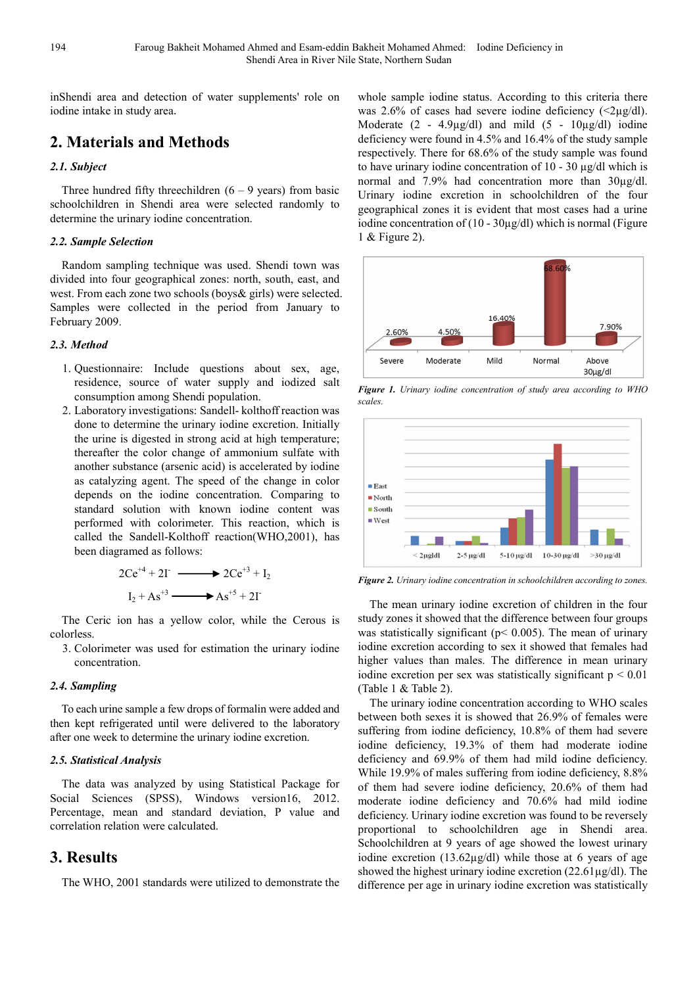inShendi area and detection of water supplements' role on iodine intake in study area.

# **2. Materials and Methods**

### *2.1. Subject*

Three hundred fifty threechildren  $(6 - 9$  years) from basic schoolchildren in Shendi area were selected randomly to determine the urinary iodine concentration.

#### *2.2. Sample Selection*

Random sampling technique was used. Shendi town was divided into four geographical zones: north, south, east, and west. From each zone two schools (boys& girls) were selected. Samples were collected in the period from January to February 2009.

#### *2.3. Method*

- 1. Questionnaire: Include questions about sex, age, residence, source of water supply and iodized salt consumption among Shendi population.
- 2. Laboratory investigations: Sandell- kolthoff reaction was done to determine the urinary iodine excretion. Initially the urine is digested in strong acid at high temperature; thereafter the color change of ammonium sulfate with another substance (arsenic acid) is accelerated by iodine as catalyzing agent. The speed of the change in color depends on the iodine concentration. Comparing to standard solution with known iodine content was performed with colorimeter. This reaction, which is called the Sandell-Kolthoff reaction(WHO,2001), has been diagramed as follows:

$$
2Ce^{+4} + 2\Gamma \longrightarrow 2Ce^{+3} + I_2
$$
  

$$
I_2 + As^{+3} \longrightarrow As^{+5} + 2\Gamma
$$

The Ceric ion has a yellow color, while the Cerous is colorless.

3. Colorimeter was used for estimation the urinary iodine concentration.

#### *2.4. Sampling*

To each urine sample a few drops of formalin were added and then kept refrigerated until were delivered to the laboratory after one week to determine the urinary iodine excretion.

#### *2.5. Statistical Analysis*

The data was analyzed by using Statistical Package for Social Sciences (SPSS), Windows version16, 2012. Percentage, mean and standard deviation, P value and correlation relation were calculated.

### **3. Results**

The WHO, 2001 standards were utilized to demonstrate the

whole sample iodine status. According to this criteria there was 2.6% of cases had severe iodine deficiency  $\langle 2\mu g/dl \rangle$ . Moderate  $(2 - 4.9\mu\text{g/dl})$  and mild  $(5 - 10\mu\text{g/dl})$  iodine deficiency were found in 4.5% and 16.4% of the study sample respectively. There for 68.6% of the study sample was found to have urinary iodine concentration of 10 - 30 µg/dl which is normal and 7.9% had concentration more than 30µg/dl. Urinary iodine excretion in schoolchildren of the four geographical zones it is evident that most cases had a urine iodine concentration of (10 - 30µg/dl) which is normal (Figure 1 & Figure 2).



*Figure 1. Urinary iodine concentration of study area according to WHO scales.* 



*Figure 2. Urinary iodine concentration in schoolchildren according to zones.* 

The mean urinary iodine excretion of children in the four study zones it showed that the difference between four groups was statistically significant (p< 0.005). The mean of urinary iodine excretion according to sex it showed that females had higher values than males. The difference in mean urinary iodine excretion per sex was statistically significant  $p \le 0.01$ (Table 1 & Table 2).

The urinary iodine concentration according to WHO scales between both sexes it is showed that 26.9% of females were suffering from iodine deficiency, 10.8% of them had severe iodine deficiency, 19.3% of them had moderate iodine deficiency and 69.9% of them had mild iodine deficiency. While 19.9% of males suffering from iodine deficiency, 8.8% of them had severe iodine deficiency, 20.6% of them had moderate iodine deficiency and 70.6% had mild iodine deficiency. Urinary iodine excretion was found to be reversely proportional to schoolchildren age in Shendi area. Schoolchildren at 9 years of age showed the lowest urinary iodine excretion (13.62µg/dl) while those at 6 years of age showed the highest urinary iodine excretion  $(22.61\mu g/dl)$ . The difference per age in urinary iodine excretion was statistically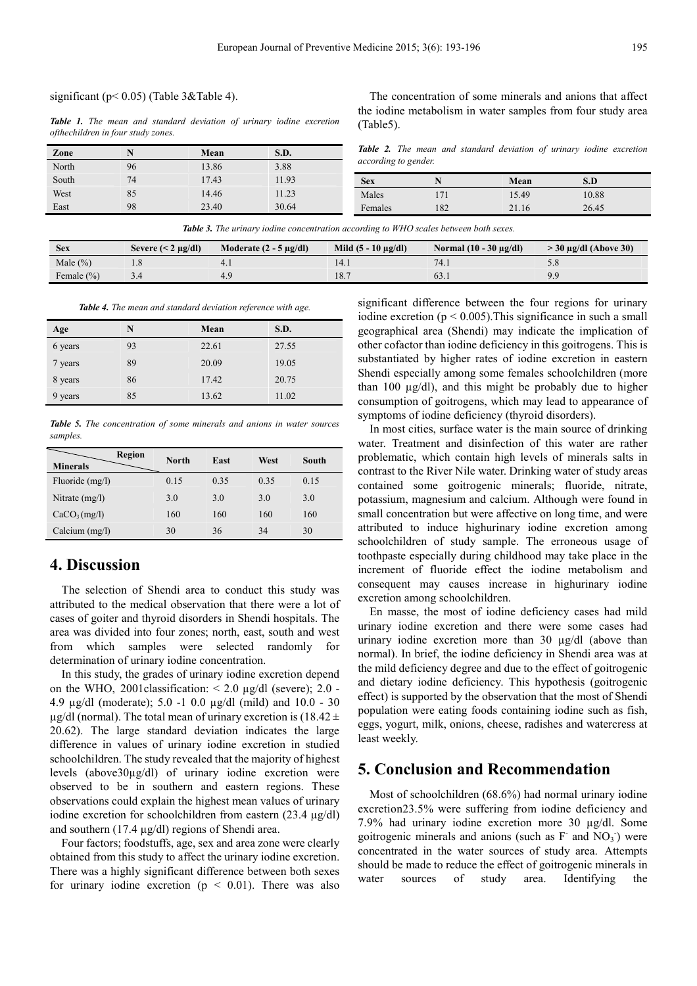#### significant ( $p < 0.05$ ) (Table 3&Table 4).

*Table 1. The mean and standard deviation of urinary iodine excretion ofthechildren in four study zones.* 

| Zone  |    | Mean  | S.D.  |
|-------|----|-------|-------|
| North | 96 | 13.86 | 3.88  |
| South | 74 | 17.43 | 11.93 |
| West  | 85 | 14.46 | 11.23 |
| East  | 98 | 23.40 | 30.64 |

The concentration of some minerals and anions that affect the iodine metabolism in water samples from four study area (Table5).

*Table 2. The mean and standard deviation of urinary iodine excretion according to gender.* 

| <b>Sex</b> |    | Mean  | S.D   |  |
|------------|----|-------|-------|--|
| Males      | 71 | 15.49 | 0.88  |  |
| Females    | 82 | 21.16 | 26.45 |  |

| <b>Sex</b>     | Severe $(< 2 \mu g/dl$ | Moderate $(2 - 5 \mu g/dl)$ | Mild $(5 - 10 \mu g/d)$ | Normal $(10 - 30 \mu g/d)$ | $>$ 30 µg/dl (Above 30) |
|----------------|------------------------|-----------------------------|-------------------------|----------------------------|-------------------------|
| Male $(\% )$   |                        |                             |                         |                            |                         |
| Female $(\% )$ |                        |                             | 18.                     | 0.3.1                      | Q <sub>0</sub>          |

*Table 3. The urinary iodine concentration according to WHO scales between both sexes.* 

*Table 4. The mean and standard deviation reference with age.*

| Age     | N  | Mean  | S.D.  |
|---------|----|-------|-------|
| 6 years | 93 | 22.61 | 27.55 |
| 7 years | 89 | 20.09 | 19.05 |
| 8 years | 86 | 17.42 | 20.75 |
| 9 years | 85 | 13.62 | 11.02 |

*Table 5. The concentration of some minerals and anions in water sources samples.* 

| <b>Region</b><br><b>Minerals</b> | <b>North</b> | East | West | South |
|----------------------------------|--------------|------|------|-------|
| Fluoride (mg/l)                  | 0.15         | 0.35 | 0.35 | 0.15  |
| Nitrate $(mg/l)$                 | 3.0          | 3.0  | 3.0  | 3.0   |
| CaCO <sub>3</sub> (mg/l)         | 160          | 160  | 160  | 160   |
| Calcium (mg/l)                   | 30           | 36   | 34   | 30    |

# **4. Discussion**

The selection of Shendi area to conduct this study was attributed to the medical observation that there were a lot of cases of goiter and thyroid disorders in Shendi hospitals. The area was divided into four zones; north, east, south and west from which samples were selected randomly for determination of urinary iodine concentration.

In this study, the grades of urinary iodine excretion depend on the WHO, 2001 classification:  $\leq 2.0 \mu g/dl$  (severe); 2.0 -4.9 µg/dl (moderate); 5.0 -1 0.0 µg/dl (mild) and 10.0 - 30  $\mu$ g/dl (normal). The total mean of urinary excretion is (18.42 ± 20.62). The large standard deviation indicates the large difference in values of urinary iodine excretion in studied schoolchildren. The study revealed that the majority of highest levels (above30µg/dl) of urinary iodine excretion were observed to be in southern and eastern regions. These observations could explain the highest mean values of urinary iodine excretion for schoolchildren from eastern (23.4 µg/dl) and southern (17.4 µg/dl) regions of Shendi area.

Four factors; foodstuffs, age, sex and area zone were clearly obtained from this study to affect the urinary iodine excretion. There was a highly significant difference between both sexes for urinary iodine excretion ( $p \le 0.01$ ). There was also significant difference between the four regions for urinary iodine excretion ( $p < 0.005$ ). This significance in such a small geographical area (Shendi) may indicate the implication of other cofactor than iodine deficiency in this goitrogens. This is substantiated by higher rates of iodine excretion in eastern Shendi especially among some females schoolchildren (more than 100  $\mu$ g/dl), and this might be probably due to higher consumption of goitrogens, which may lead to appearance of symptoms of iodine deficiency (thyroid disorders).

In most cities, surface water is the main source of drinking water. Treatment and disinfection of this water are rather problematic, which contain high levels of minerals salts in contrast to the River Nile water. Drinking water of study areas contained some goitrogenic minerals; fluoride, nitrate, potassium, magnesium and calcium. Although were found in small concentration but were affective on long time, and were attributed to induce highurinary iodine excretion among schoolchildren of study sample. The erroneous usage of toothpaste especially during childhood may take place in the increment of fluoride effect the iodine metabolism and consequent may causes increase in highurinary iodine excretion among schoolchildren.

En masse, the most of iodine deficiency cases had mild urinary iodine excretion and there were some cases had urinary iodine excretion more than 30 µg/dl (above than normal). In brief, the iodine deficiency in Shendi area was at the mild deficiency degree and due to the effect of goitrogenic and dietary iodine deficiency. This hypothesis (goitrogenic effect) is supported by the observation that the most of Shendi population were eating foods containing iodine such as fish, eggs, yogurt, milk, onions, cheese, radishes and watercress at least weekly.

### **5. Conclusion and Recommendation**

Most of schoolchildren (68.6%) had normal urinary iodine excretion23.5% were suffering from iodine deficiency and 7.9% had urinary iodine excretion more 30 µg/dl. Some goitrogenic minerals and anions (such as  $F<sup>-</sup>$  and  $NO<sub>3</sub><sup>-</sup>$ ) were concentrated in the water sources of study area. Attempts should be made to reduce the effect of goitrogenic minerals in water sources of study area. Identifying the